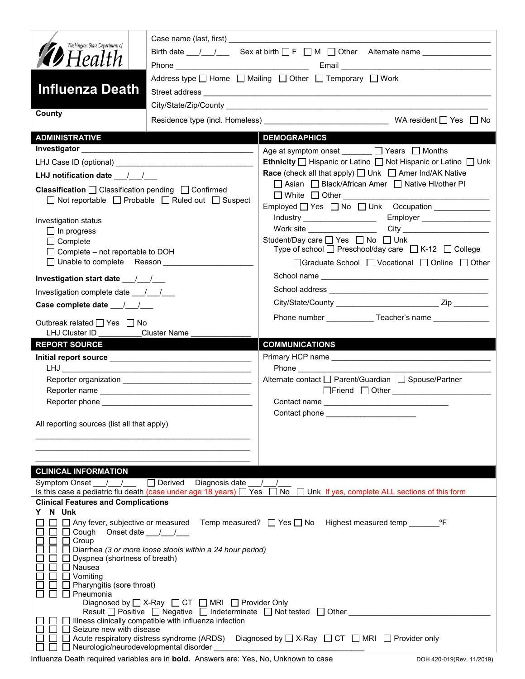| Washington State Department of                                                                                            |                                                                                                                             | Birth date $\frac{1}{\sqrt{2}}$ Sex at birth $\Box F \Box M \Box$ Other Alternate name _____________             |  |
|---------------------------------------------------------------------------------------------------------------------------|-----------------------------------------------------------------------------------------------------------------------------|------------------------------------------------------------------------------------------------------------------|--|
| <b>D</b> Health                                                                                                           |                                                                                                                             |                                                                                                                  |  |
|                                                                                                                           |                                                                                                                             | Address type □ Home □ Mailing □ Other □ Temporary □ Work                                                         |  |
| <b>Influenza Death</b>                                                                                                    |                                                                                                                             |                                                                                                                  |  |
|                                                                                                                           |                                                                                                                             |                                                                                                                  |  |
| County                                                                                                                    |                                                                                                                             |                                                                                                                  |  |
| <b>ADMINISTRATIVE</b>                                                                                                     |                                                                                                                             | <b>DEMOGRAPHICS</b>                                                                                              |  |
|                                                                                                                           |                                                                                                                             | Age at symptom onset ______ □ Years □ Months                                                                     |  |
|                                                                                                                           |                                                                                                                             | Ethnicity □ Hispanic or Latino □ Not Hispanic or Latino □ Unk                                                    |  |
| LHJ notification date $\frac{1}{2}$                                                                                       |                                                                                                                             | <b>Race</b> (check all that apply) <u>□</u> Unk □ Amer Ind/AK Native                                             |  |
| <b>Classification</b> $\Box$ Classification pending $\Box$ Confirmed<br>□ Not reportable □ Probable □ Ruled out □ Suspect |                                                                                                                             | □ Asian □ Black/African Amer □ Native HI/other PI                                                                |  |
|                                                                                                                           |                                                                                                                             | Employed Yes No Unk Occupation                                                                                   |  |
|                                                                                                                           |                                                                                                                             |                                                                                                                  |  |
| Investigation status<br>$\Box$ In progress                                                                                |                                                                                                                             | Work site $\sqrt{a^2 + b^2 + c^2}$                                                                               |  |
| $\Box$ Complete<br>$\Box$ Complete – not reportable to DOH                                                                |                                                                                                                             | Student/Day care <u>on</u> Yes <b>on</b> No <b>D</b> Unk<br>Type of school □ Preschool/day care □ K-12 □ College |  |
| □ Unable to complete Reason                                                                                               |                                                                                                                             | □Graduate School □ Vocational □ Online □ Other                                                                   |  |
| Investigation start date 11/1                                                                                             |                                                                                                                             |                                                                                                                  |  |
| Investigation complete date 11/1                                                                                          |                                                                                                                             |                                                                                                                  |  |
| Case complete date 11                                                                                                     |                                                                                                                             |                                                                                                                  |  |
|                                                                                                                           |                                                                                                                             | Phone number ______________Teacher's name _______________                                                        |  |
| Outbreak related □ Yes □ No<br>LHJ Cluster ID                                                                             | <b>Cluster Name</b>                                                                                                         |                                                                                                                  |  |
|                                                                                                                           |                                                                                                                             |                                                                                                                  |  |
|                                                                                                                           |                                                                                                                             |                                                                                                                  |  |
| <b>REPORT SOURCE</b>                                                                                                      |                                                                                                                             | <b>COMMUNICATIONS</b>                                                                                            |  |
|                                                                                                                           |                                                                                                                             |                                                                                                                  |  |
|                                                                                                                           |                                                                                                                             | Alternate contact □ Parent/Guardian □ Spouse/Partner                                                             |  |
|                                                                                                                           |                                                                                                                             |                                                                                                                  |  |
|                                                                                                                           |                                                                                                                             |                                                                                                                  |  |
|                                                                                                                           |                                                                                                                             | Contact phone                                                                                                    |  |
| All reporting sources (list all that apply)                                                                               |                                                                                                                             |                                                                                                                  |  |
|                                                                                                                           |                                                                                                                             |                                                                                                                  |  |
|                                                                                                                           |                                                                                                                             |                                                                                                                  |  |
| <b>CLINICAL INFORMATION</b>                                                                                               |                                                                                                                             |                                                                                                                  |  |
| <b>Symptom Onset</b>                                                                                                      | $\Box$ Derived<br>Diagnosis date                                                                                            |                                                                                                                  |  |
|                                                                                                                           | Is this case a pediatric flu death (case under age 18 years) $\Box$ Yes                                                     | No □ Unk If yes, complete ALL sections of this form                                                              |  |
| <b>Clinical Features and Complications</b>                                                                                |                                                                                                                             |                                                                                                                  |  |
| N Unk<br>Y                                                                                                                |                                                                                                                             | °F                                                                                                               |  |
| Cough                                                                                                                     | Onset date $\frac{1}{2}$                                                                                                    | Any fever, subjective or measured Temp measured? □ Yes □ No Highest measured temp                                |  |
| Croup                                                                                                                     |                                                                                                                             |                                                                                                                  |  |
| Dyspnea (shortness of breath)                                                                                             | Diarrhea (3 or more loose stools within a 24 hour period)                                                                   |                                                                                                                  |  |
| Nausea                                                                                                                    |                                                                                                                             |                                                                                                                  |  |
| Vomiting                                                                                                                  |                                                                                                                             |                                                                                                                  |  |
| Pharyngitis (sore throat)<br>Pneumonia                                                                                    |                                                                                                                             |                                                                                                                  |  |
|                                                                                                                           | Diagnosed by $\Box$ X-Ray $\Box$ CT $\Box$ MRI $\Box$ Provider Only                                                         |                                                                                                                  |  |
|                                                                                                                           | Result D Positive D Negative D Indeterminate D Not tested D Other<br>Illness clinically compatible with influenza infection |                                                                                                                  |  |
| Seizure new with disease                                                                                                  | Acute respiratory distress syndrome (ARDS)                                                                                  | Diagnosed by $\Box$ X-Ray $\Box$ CT $\Box$ MRI $\Box$ Provider only                                              |  |

Influenza Death required variables are in **bold.** Answers are: Yes, No, Unknown to case DOH 420-019(Rev. 11/2019)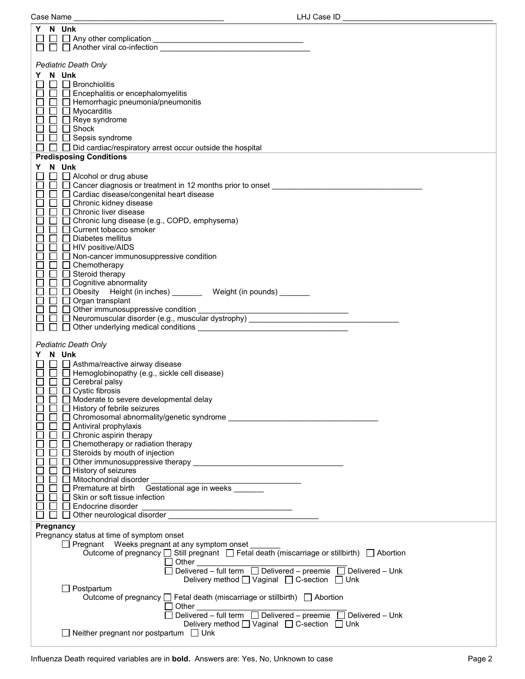| Y N Unk                                                                          |                                             |
|----------------------------------------------------------------------------------|---------------------------------------------|
|                                                                                  |                                             |
|                                                                                  |                                             |
|                                                                                  |                                             |
| Pediatric Death Only                                                             |                                             |
| Y N Unk                                                                          |                                             |
| $\Box$ Bronchiolitis<br>$\Box$                                                   |                                             |
| $\Box$ Encephalitis or encephalomyelitis                                         |                                             |
| $\Box$ Hemorrhagic pneumonia/pneumonitis                                         |                                             |
| $\Box$<br>$\Box$ Myocarditis                                                     |                                             |
| $\Box$ Reye syndrome                                                             |                                             |
| $\Box$ $\Box$ Shock                                                              |                                             |
| $\Box$ Sepsis syndrome                                                           |                                             |
| $\Box$ Did cardiac/respiratory arrest occur outside the hospital<br>$\Box$       |                                             |
| <b>Predisposing Conditions</b>                                                   |                                             |
|                                                                                  |                                             |
| N Unk<br>Y.                                                                      |                                             |
| $\Box$ Alcohol or drug abuse                                                     |                                             |
| $\Box$ $\Box$ Cancer diagnosis or treatment in 12 months prior to onset $\Box$   |                                             |
| $\Box$ $\Box$ Cardiac disease/congenital heart disease                           |                                             |
| $\Box$ $\Box$ Chronic kidney disease                                             |                                             |
| □ Chronic liver disease<br>$\mathsf{L}$                                          |                                             |
| □ Chronic lung disease (e.g., COPD, emphysema)                                   |                                             |
| Current tobacco smoker<br>$\mathsf{L}$                                           |                                             |
| □ Diabetes mellitus                                                              |                                             |
| $\Box$ $\Box$ HIV positive/AIDS                                                  |                                             |
| $\Box$ Non-cancer immunosuppressive condition                                    |                                             |
| Chemotherapy<br>ப                                                                |                                             |
| Steroid therapy                                                                  |                                             |
| □ Cognitive abnormality                                                          |                                             |
| □ □ Obesity Height (in inches) _______ Weight (in pounds) ______                 |                                             |
| $\Box$ $\Box$ Organ transplant                                                   |                                             |
| $\Box$ Other immunosuppressive condition                                         | <u> 1989 - Jan Barbara Barat, manazar a</u> |
| □ D Neuromuscular disorder (e.g., muscular dystrophy) __________________________ |                                             |
|                                                                                  |                                             |
|                                                                                  |                                             |
| Pediatric Death Only                                                             |                                             |
| Y N Unk                                                                          |                                             |
| $\Box$ Asthma/reactive airway disease                                            |                                             |
| $\Box$ Hemoglobinopathy (e.g., sickle cell disease)                              |                                             |
| $\Box$ $\Box$ Cerebral palsy                                                     |                                             |
| $\Box$ $\Box$ Cystic fibrosis                                                    |                                             |
| П<br>Moderate to severe developmental delay                                      |                                             |
| History of febrile seizures                                                      |                                             |
| □ Chromosomal abnormality/genetic syndrome                                       |                                             |
| □ Antiviral prophylaxis<br>П                                                     |                                             |
| $\Box$ Chronic aspirin therapy                                                   |                                             |
| $\Box$ Chemotherapy or radiation therapy                                         |                                             |
| $\Box$ Steroids by mouth of injection                                            |                                             |
|                                                                                  |                                             |
| $\Box$ History of seizures                                                       |                                             |
| Mitochondrial disorder                                                           |                                             |
| $\Box$ Premature at birth Gestational age in weeks                               |                                             |
| Skin or soft tissue infection                                                    |                                             |
| □ Endocrine disorder<br><u> 1990 - Johann Barbara, martin amerikan basar da</u>  |                                             |
| Other neurological disorder                                                      |                                             |
| Pregnancy                                                                        |                                             |
| Pregnancy status at time of symptom onset                                        |                                             |
| $\Box$ Discussed $M_{\odot}$ discussed $\Box$                                    |                                             |

| r regnancy status at time or symptom onset                                                 |
|--------------------------------------------------------------------------------------------|
| Pregnant Weeks pregnant at any symptom onset                                               |
| Outcome of pregnancy □ Still pregnant □ Fetal death (miscarriage or stillbirth) □ Abortion |
| Other                                                                                      |
| Delivered – full term $\Box$ Delivered – preemie $\Box$ Delivered – Unk                    |
| Delivery method $\Box$ Vaginal $\Box$ C-section $\Box$ Unk                                 |
| Postpartum                                                                                 |
| Outcome of pregnancy $\Box$ Fetal death (miscarriage or stillbirth) $\Box$ Abortion        |
| Other                                                                                      |
| $\Box$ Delivered – full term $\Box$ Delivered – preemie $\Box$ Delivered – Unk             |
| Delivery method <u>U</u> Vaginal □ C-section □ Unk                                         |
| Neither pregnant nor postpartum $\Box$ Unk                                                 |
|                                                                                            |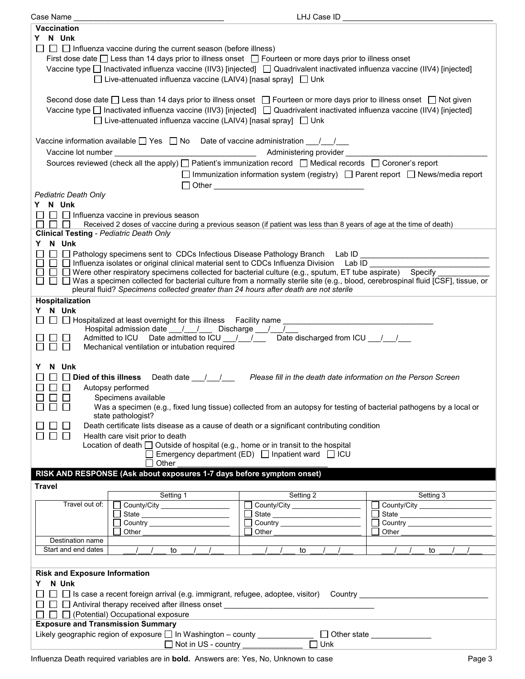| Case Name j                                                                                                                                                                                                                                                                                                                               | LHJ Case ID                                                                                                                                                                                                                    |                                                                                           |
|-------------------------------------------------------------------------------------------------------------------------------------------------------------------------------------------------------------------------------------------------------------------------------------------------------------------------------------------|--------------------------------------------------------------------------------------------------------------------------------------------------------------------------------------------------------------------------------|-------------------------------------------------------------------------------------------|
| <b>Vaccination</b>                                                                                                                                                                                                                                                                                                                        |                                                                                                                                                                                                                                |                                                                                           |
| Y N Unk                                                                                                                                                                                                                                                                                                                                   |                                                                                                                                                                                                                                |                                                                                           |
| $\Box$ Influenza vaccine during the current season (before illness)<br>First dose date □ Less than 14 days prior to illness onset □ Fourteen or more days prior to illness onset<br>Vaccine type □ Inactivated influenza vaccine (IIV3) [injected] □ Quadrivalent inactivated influenza vaccine (IIV4) [injected]                         |                                                                                                                                                                                                                                |                                                                                           |
| □ Live-attenuated influenza vaccine (LAIV4) [nasal spray] □ Unk                                                                                                                                                                                                                                                                           |                                                                                                                                                                                                                                |                                                                                           |
| Second dose date $\Box$ Less than 14 days prior to illness onset $\Box$ Fourteen or more days prior to illness onset $\Box$ Not given<br>Vaccine type □ Inactivated influenza vaccine (IIV3) [injected] □ Quadrivalent inactivated influenza vaccine (IIV4) [injected]<br>□ Live-attenuated influenza vaccine (LAIV4) [nasal spray] □ Unk |                                                                                                                                                                                                                                |                                                                                           |
| Vaccine information available $\Box$ Yes $\Box$ No Date of vaccine administration $\Box$                                                                                                                                                                                                                                                  |                                                                                                                                                                                                                                |                                                                                           |
|                                                                                                                                                                                                                                                                                                                                           |                                                                                                                                                                                                                                |                                                                                           |
|                                                                                                                                                                                                                                                                                                                                           |                                                                                                                                                                                                                                |                                                                                           |
| Sources reviewed (check all the apply) [ Patient's immunization record [ Medical records [ Coroner's report                                                                                                                                                                                                                               | $\Box$ Immunization information system (registry) $\Box$ Parent report $\Box$ News/media report<br>□ Other <u>_________________________________</u>                                                                            |                                                                                           |
| <b>Pediatric Death Only</b>                                                                                                                                                                                                                                                                                                               |                                                                                                                                                                                                                                |                                                                                           |
| Y N Unk                                                                                                                                                                                                                                                                                                                                   |                                                                                                                                                                                                                                |                                                                                           |
| $\Box$ Influenza vaccine in previous season                                                                                                                                                                                                                                                                                               |                                                                                                                                                                                                                                |                                                                                           |
| $\Box$<br>Received 2 doses of vaccine during a previous season (if patient was less than 8 years of age at the time of death)                                                                                                                                                                                                             |                                                                                                                                                                                                                                |                                                                                           |
| <b>Clinical Testing - Pediatric Death Only</b>                                                                                                                                                                                                                                                                                            |                                                                                                                                                                                                                                |                                                                                           |
| Y N Unk                                                                                                                                                                                                                                                                                                                                   |                                                                                                                                                                                                                                |                                                                                           |
| □ □ Pathology specimens sent to CDCs Infectious Disease Pathology Branch Lab ID _________________________                                                                                                                                                                                                                                 |                                                                                                                                                                                                                                |                                                                                           |
| $\Box$ Influenza isolates or original clinical material sent to CDCs Influenza Division Lab ID                                                                                                                                                                                                                                            |                                                                                                                                                                                                                                |                                                                                           |
| $\Box$ Were other respiratory specimens collected for bacterial culture (e.g., sputum, ET tube aspirate) Specify                                                                                                                                                                                                                          |                                                                                                                                                                                                                                |                                                                                           |
| □ □ Was a specimen collected for bacterial culture from a normally sterile site (e.g., blood, cerebrospinal fluid [CSF], tissue, or                                                                                                                                                                                                       |                                                                                                                                                                                                                                |                                                                                           |
| pleural fluid? Specimens collected greater than 24 hours after death are not sterile                                                                                                                                                                                                                                                      |                                                                                                                                                                                                                                |                                                                                           |
| Hospitalization                                                                                                                                                                                                                                                                                                                           |                                                                                                                                                                                                                                |                                                                                           |
| Y N Unk                                                                                                                                                                                                                                                                                                                                   |                                                                                                                                                                                                                                |                                                                                           |
|                                                                                                                                                                                                                                                                                                                                           |                                                                                                                                                                                                                                |                                                                                           |
| Hospital admission date __/ __/ __ Discharge __/ __/                                                                                                                                                                                                                                                                                      |                                                                                                                                                                                                                                |                                                                                           |
| Admitted to ICU Date admitted to ICU 1 / Date discharged from ICU 1 /                                                                                                                                                                                                                                                                     |                                                                                                                                                                                                                                |                                                                                           |
| Mechanical ventilation or intubation required                                                                                                                                                                                                                                                                                             |                                                                                                                                                                                                                                |                                                                                           |
|                                                                                                                                                                                                                                                                                                                                           |                                                                                                                                                                                                                                |                                                                                           |
| N Unk<br>Y                                                                                                                                                                                                                                                                                                                                |                                                                                                                                                                                                                                |                                                                                           |
| $\Box$ Died of this illness Death date $\Box$ / $\Box$ Please fill in the death date information on the Person Screen                                                                                                                                                                                                                     |                                                                                                                                                                                                                                |                                                                                           |
| $\Box$<br>Autopsy performed                                                                                                                                                                                                                                                                                                               |                                                                                                                                                                                                                                |                                                                                           |
| 88 8 8<br>Specimens available                                                                                                                                                                                                                                                                                                             |                                                                                                                                                                                                                                |                                                                                           |
| ПП<br>Was a specimen (e.g., fixed lung tissue) collected from an autopsy for testing of bacterial pathogens by a local or<br>state pathologist?                                                                                                                                                                                           |                                                                                                                                                                                                                                |                                                                                           |
| Death certificate lists disease as a cause of death or a significant contributing condition                                                                                                                                                                                                                                               |                                                                                                                                                                                                                                |                                                                                           |
| Health care visit prior to death<br>$\perp$<br>$\overline{\phantom{a}}$                                                                                                                                                                                                                                                                   |                                                                                                                                                                                                                                |                                                                                           |
| Location of death $\Box$ Outside of hospital (e.g., home or in transit to the hospital                                                                                                                                                                                                                                                    |                                                                                                                                                                                                                                |                                                                                           |
|                                                                                                                                                                                                                                                                                                                                           | Emergency department (ED) □ Inpatient ward □ ICU                                                                                                                                                                               |                                                                                           |
| Other                                                                                                                                                                                                                                                                                                                                     |                                                                                                                                                                                                                                |                                                                                           |
| RISK AND RESPONSE (Ask about exposures 1-7 days before symptom onset)                                                                                                                                                                                                                                                                     |                                                                                                                                                                                                                                |                                                                                           |
| <b>Travel</b>                                                                                                                                                                                                                                                                                                                             |                                                                                                                                                                                                                                |                                                                                           |
| Setting 1                                                                                                                                                                                                                                                                                                                                 | Setting 2                                                                                                                                                                                                                      | Setting 3                                                                                 |
| Travel out of:<br>County/City ____________________                                                                                                                                                                                                                                                                                        | County/City _____________________                                                                                                                                                                                              | Г                                                                                         |
|                                                                                                                                                                                                                                                                                                                                           |                                                                                                                                                                                                                                |                                                                                           |
|                                                                                                                                                                                                                                                                                                                                           |                                                                                                                                                                                                                                |                                                                                           |
| Other                                                                                                                                                                                                                                                                                                                                     | Other the contract of the contract of the contract of the contract of the contract of the contract of the contract of the contract of the contract of the contract of the contract of the contract of the contract of the cont | Other                                                                                     |
| Destination name                                                                                                                                                                                                                                                                                                                          |                                                                                                                                                                                                                                |                                                                                           |
| Start and end dates<br>to                                                                                                                                                                                                                                                                                                                 | to                                                                                                                                                                                                                             | to                                                                                        |
|                                                                                                                                                                                                                                                                                                                                           |                                                                                                                                                                                                                                |                                                                                           |
| <b>Risk and Exposure Information</b>                                                                                                                                                                                                                                                                                                      |                                                                                                                                                                                                                                |                                                                                           |
| N Unk<br>Y.                                                                                                                                                                                                                                                                                                                               |                                                                                                                                                                                                                                |                                                                                           |
| □ □ Is case a recent foreign arrival (e.g. immigrant, refugee, adoptee, visitor) Country ________________<br>$\Box$                                                                                                                                                                                                                       |                                                                                                                                                                                                                                |                                                                                           |
| $\Box$                                                                                                                                                                                                                                                                                                                                    |                                                                                                                                                                                                                                |                                                                                           |
| $\Box$ (Potential) Occupational exposure<br>$\Box$                                                                                                                                                                                                                                                                                        |                                                                                                                                                                                                                                |                                                                                           |
| <b>Exposure and Transmission Summary</b>                                                                                                                                                                                                                                                                                                  |                                                                                                                                                                                                                                | the control of the control of the control of the control of the control of the control of |
| Likely geographic region of exposure □ In Washington - county ____________                                                                                                                                                                                                                                                                |                                                                                                                                                                                                                                | □ Other state ______________                                                              |
| Not in US - country ______________                                                                                                                                                                                                                                                                                                        | $\Box$ Unk                                                                                                                                                                                                                     |                                                                                           |
|                                                                                                                                                                                                                                                                                                                                           |                                                                                                                                                                                                                                |                                                                                           |